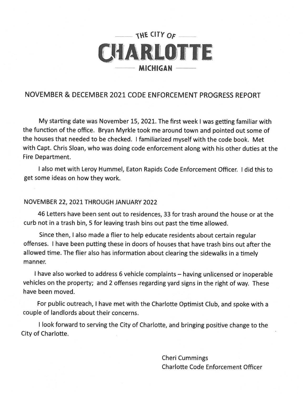

## NOVEMBER & DECEMBER 2021 CODE ENFORCEMENT PROGRESS REPORT

My starting date was November 15, 2021. The first week I was getting familiar with the function of the office. Bryan Myrkle took me around town and pointed out some of the houses that needed to be checked. I familiarized myself with the code book. Met with Capt. Chris Sloan, who was doing code enforcement along with his other duties at the Fire Department.

I also met with Leroy Hummel, Eaton Rapids Code Enforcement Officer. I did this to get some ideas on how they work.

## NOVEMBER 22, 2021 THROUGH JANUARY 2022

46 Letters have been sent out to residences, 33 for trash around the house or at the curb not in a trash bin, 5 for leaving trash bins out past the time allowed.

Since then, I also made a flier to help educate residents about certain regular offenses. I have been putting these in doors of houses that have trash bins out after the allowed time. The flier also has information about clearing the sidewalks in a timely manner.

I have also worked to address 6 vehicle complaints - having unlicensed or inoperable vehicles on the property; and 2 offenses regarding yard signs in the right of way. These have been moved.

For public outreach, I have met with the Charlotte Optimist Club, and spoke with a couple of landlords about their concerns.

I look forward to serving the City of Charlotte, and bringing positive change to the City of Charlotte.

> **Cheri Cummings Charlotte Code Enforcement Officer**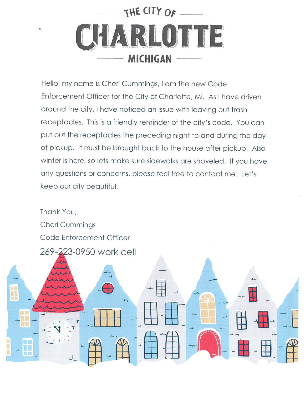

Hello, my name is Cheri Cummings, I am the new Code Enforcement Officer for the City of Charlotte, MI. As I have driven around the city, I have noticed an issue with leaving out trash receptacles. This is a friendly reminder of the city's code. You can put out the receptacles the preceding night to and during the day of pickup. It must be brought back to the house after pickup. Also winter is here, so lets make sure sidewalks are shoveled. If you have any questions or concerns, please feel free to contact me. Let's keep our city beautiful.

Thank You, **Cheri Cummings** Code Enforcement Officer